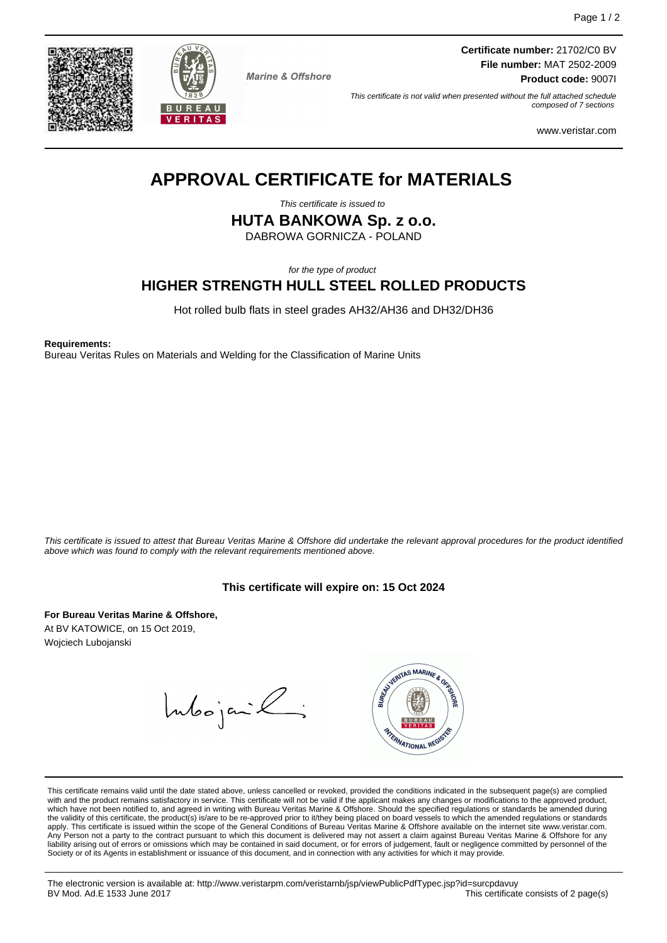



**Marine & Offshore** 

**Certificate number:** 21702/C0 BV **File number:** MAT 2502-2009 **Product code:** 9007I

This certificate is not valid when presented without the full attached schedule composed of 7 sections

www.veristar.com

# **APPROVAL CERTIFICATE for MATERIALS**

This certificate is issued to

**HUTA BANKOWA Sp. z o.o.**

DABROWA GORNICZA - POLAND

for the type of product

## **HIGHER STRENGTH HULL STEEL ROLLED PRODUCTS**

Hot rolled bulb flats in steel grades AH32/AH36 and DH32/DH36

**Requirements:**

Bureau Veritas Rules on Materials and Welding for the Classification of Marine Units

This certificate is issued to attest that Bureau Veritas Marine & Offshore did undertake the relevant approval procedures for the product identified above which was found to comply with the relevant requirements mentioned above.

## **This certificate will expire on: 15 Oct 2024**

**For Bureau Veritas Marine & Offshore,** At BV KATOWICE, on 15 Oct 2019, Wojciech Lubojanski

Intoojanik



This certificate remains valid until the date stated above, unless cancelled or revoked, provided the conditions indicated in the subsequent page(s) are complied with and the product remains satisfactory in service. This certificate will not be valid if the applicant makes any changes or modifications to the approved product,<br>which have not been notified to, and agreed in writing w apply. This certificate is issued within the scope of the General Conditions of Bureau Veritas Marine & Offshore available on the internet site www.veristar.com. .<br>Person not a party to the contract pursuant to which this document is delivered may not assert a claim against Bureau Veritas Marine & Offshore for any liability arising out of errors or omissions which may be contained in said document, or for errors of judgement, fault or negligence committed by personnel of the Society or of its Agents in establishment or issuance of this document, and in connection with any activities for which it may provide.